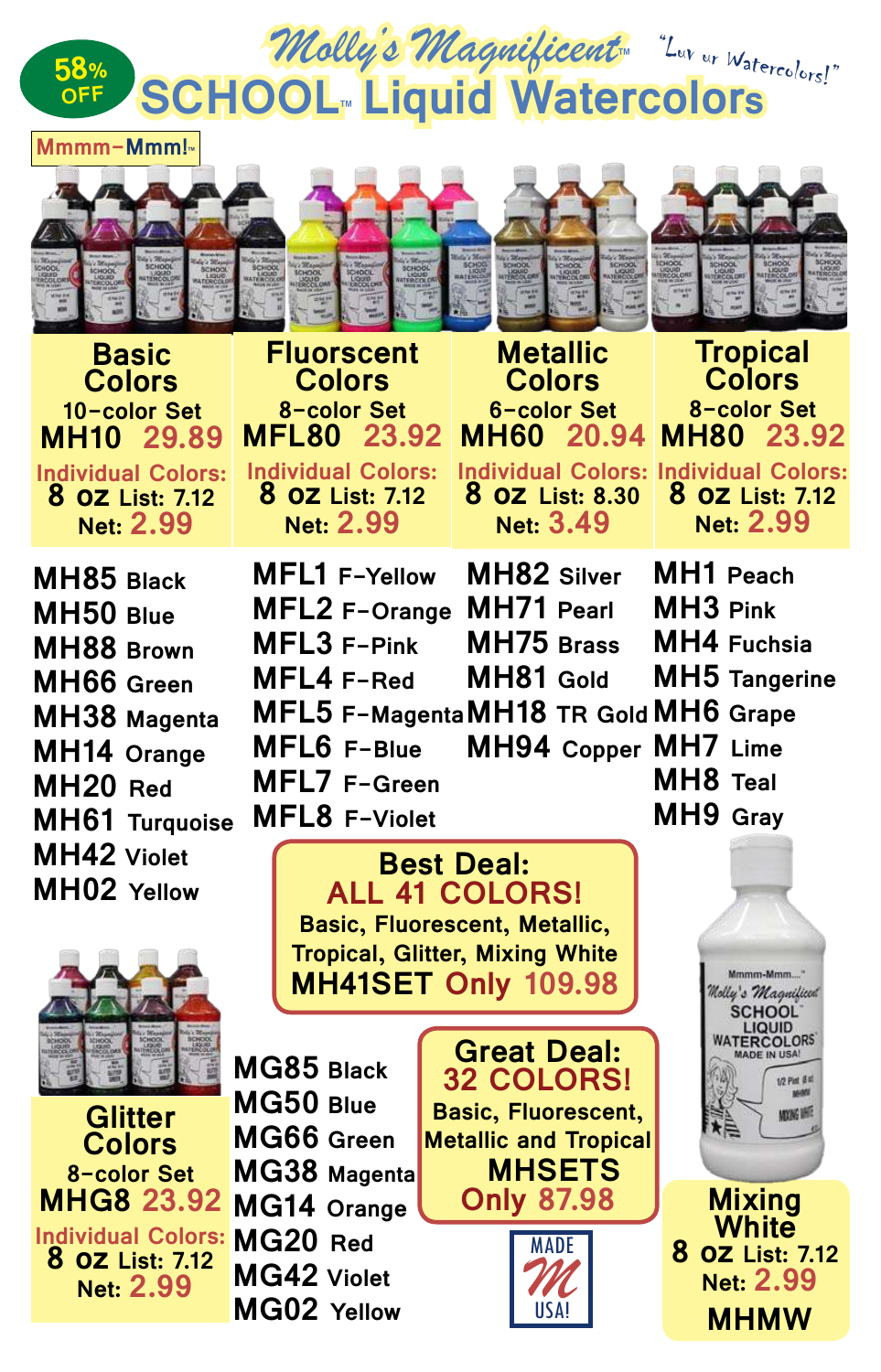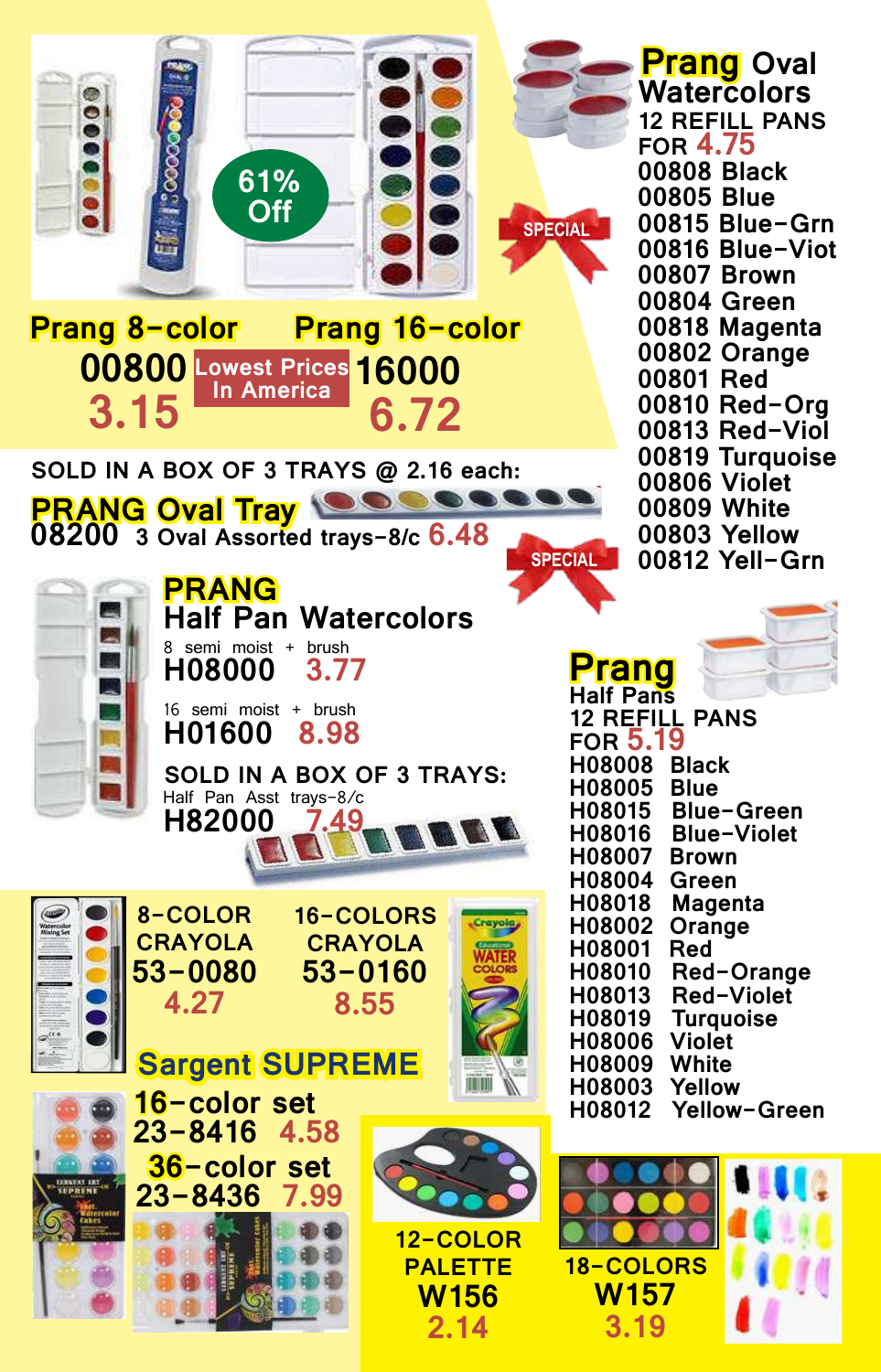